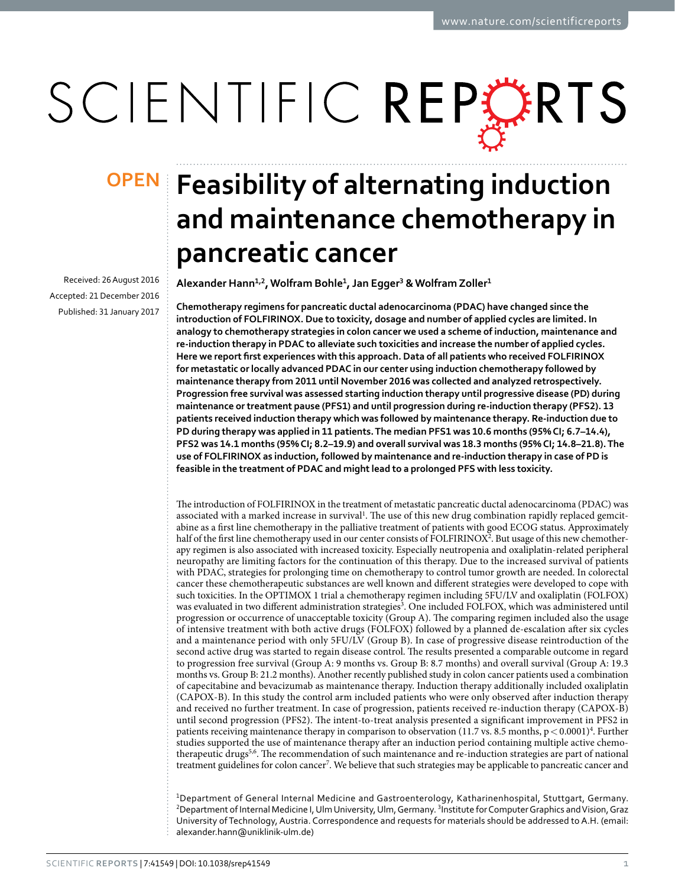# SCIENTIFIC REPERTS

Received: 26 August 2016 accepted: 21 December 2016 Published: 31 January 2017

## **OPEN** Feasibility of alternating induction **and maintenance chemotherapy in pancreatic cancer**

**Alexander Hann<sup>1</sup>,<sup>2</sup>, Wolfram Bohle<sup>1</sup>, Jan Egger<sup>3</sup> & Wolfram Zoller<sup>1</sup>**

**Chemotherapy regimens for pancreatic ductal adenocarcinoma (PDAC) have changed since the introduction of FOLFIRINOX. Due to toxicity, dosage and number of applied cycles are limited. In analogy to chemotherapy strategies in colon cancer we used a scheme of induction, maintenance and re-induction therapy in PDAC to alleviate such toxicities and increase the number of applied cycles. Here we report first experiences with this approach. Data of all patients who received FOLFIRINOX for metastatic or locally advanced PDAC in our center using induction chemotherapy followed by maintenance therapy from 2011 until November 2016 was collected and analyzed retrospectively. Progression free survival was assessed starting induction therapy until progressive disease (PD) during maintenance or treatment pause (PFS1) and until progression during re-induction therapy (PFS2). 13 patients received induction therapy which was followed by maintenance therapy. Re-induction due to PD during therapy was applied in 11 patients. The median PFS1 was 10.6 months (95% CI; 6.7–14.4), PFS2 was 14.1 months (95% CI; 8.2–19.9) and overall survival was 18.3 months (95% CI; 14.8–21.8). The use of FOLFIRINOX as induction, followed by maintenance and re-induction therapy in case of PD is feasible in the treatment of PDAC and might lead to a prolonged PFS with less toxicity.**

The introduction of FOLFIRINOX in the treatment of metastatic pancreatic ductal adenocarcinoma (PDAC) was associated with a marked increase in survival<sup>[1](#page-6-0)</sup>. The use of this new drug combination rapidly replaced gemcitabine as a first line chemotherapy in the palliative treatment of patients with good ECOG status. Approximately half of the first line chemotherapy used in our center consists of FOLFIRINOX<sup>[2](#page-6-1)</sup>. But usage of this new chemotherapy regimen is also associated with increased toxicity. Especially neutropenia and oxaliplatin-related peripheral neuropathy are limiting factors for the continuation of this therapy. Due to the increased survival of patients with PDAC, strategies for prolonging time on chemotherapy to control tumor growth are needed. In colorectal cancer these chemotherapeutic substances are well known and different strategies were developed to cope with such toxicities. In the OPTIMOX 1 trial a chemotherapy regimen including 5FU/LV and oxaliplatin (FOLFOX) was evaluated in two different administration strategies<sup>[3](#page-6-2)</sup>. One included FOLFOX, which was administered until progression or occurrence of unacceptable toxicity (Group A). The comparing regimen included also the usage of intensive treatment with both active drugs (FOLFOX) followed by a planned de-escalation after six cycles and a maintenance period with only 5FU/LV (Group B). In case of progressive disease reintroduction of the second active drug was started to regain disease control. The results presented a comparable outcome in regard to progression free survival (Group A: 9 months vs. Group B: 8.7 months) and overall survival (Group A: 19.3 months vs. Group B: 21.2 months). Another recently published study in colon cancer patients used a combination of capecitabine and bevacizumab as maintenance therapy. Induction therapy additionally included oxaliplatin (CAPOX-B). In this study the control arm included patients who were only observed after induction therapy and received no further treatment. In case of progression, patients received re-induction therapy (CAPOX-B) until second progression (PFS2). The intent-to-treat analysis presented a significant improvement in PFS2 in patients receiving maintenance therapy in comparison to observation (11.7 vs. 8.5 months, p < 0.0001)<sup>4</sup>. Further studies supported the use of maintenance therapy after an induction period containing multiple active chemo-therapeutic drugs<sup>5,[6](#page-6-5)</sup>. The recommendation of such maintenance and re-induction strategies are part of national treatment guidelines for colon cancer<sup>[7](#page-6-6)</sup>. We believe that such strategies may be applicable to pancreatic cancer and

<sup>1</sup>Department of General Internal Medicine and Gastroenterology, Katharinenhospital, Stuttgart, Germany. <sup>2</sup>Department of Internal Medicine I, Ulm University, Ulm, Germany. <sup>3</sup>Institute for Computer Graphics and Vision, Graz University of Technology, Austria. Correspondence and requests for materials should be addressed to A.H. (email: [alexander.hann@uniklinik-ulm.de](mailto:alexander.hann@uniklinik-ulm.de))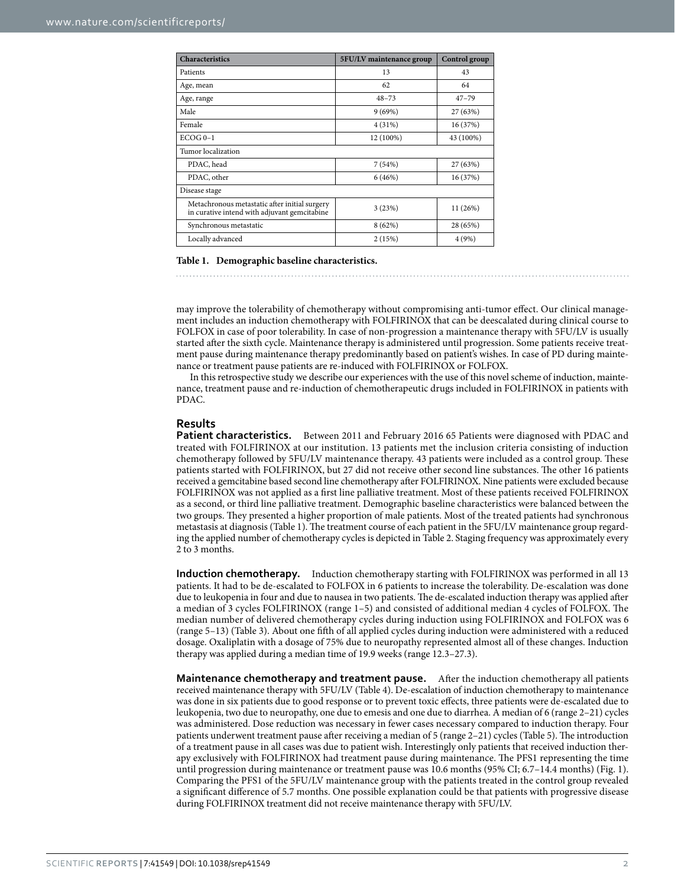<span id="page-1-0"></span>

| <b>Characteristics</b>                                                                        | 5FU/LV maintenance group | Control group |  |  |
|-----------------------------------------------------------------------------------------------|--------------------------|---------------|--|--|
| Patients                                                                                      | 13                       | 43            |  |  |
| Age, mean                                                                                     | 62                       | 64            |  |  |
| Age, range                                                                                    | $48 - 73$                | $47 - 79$     |  |  |
| Male                                                                                          | 9(69%)                   | 27 (63%)      |  |  |
| Female                                                                                        | 4(31%)                   | 16 (37%)      |  |  |
| $ECOG 0-1$                                                                                    | 12 (100%)                | 43 (100%)     |  |  |
| Tumor localization                                                                            |                          |               |  |  |
| PDAC, head                                                                                    | 7(54%)                   | 27 (63%)      |  |  |
| PDAC, other                                                                                   | 6(46%)                   | 16 (37%)      |  |  |
| Disease stage                                                                                 |                          |               |  |  |
| Metachronous metastatic after initial surgery<br>in curative intend with adjuvant gemcitabine | 3(23%)                   | 11 (26%)      |  |  |
| Synchronous metastatic                                                                        | 8(62%)                   | 28 (65%)      |  |  |
| Locally advanced                                                                              | 2(15%)                   | 4(9%)         |  |  |

#### **Table 1. Demographic baseline characteristics.**

may improve the tolerability of chemotherapy without compromising anti-tumor effect. Our clinical management includes an induction chemotherapy with FOLFIRINOX that can be deescalated during clinical course to FOLFOX in case of poor tolerability. In case of non-progression a maintenance therapy with 5FU/LV is usually started after the sixth cycle. Maintenance therapy is administered until progression. Some patients receive treatment pause during maintenance therapy predominantly based on patient's wishes. In case of PD during maintenance or treatment pause patients are re-induced with FOLFIRINOX or FOLFOX.

In this retrospective study we describe our experiences with the use of this novel scheme of induction, maintenance, treatment pause and re-induction of chemotherapeutic drugs included in FOLFIRINOX in patients with PDAC.

#### **Results**

**Patient characteristics.** Between 2011 and February 2016 65 Patients were diagnosed with PDAC and treated with FOLFIRINOX at our institution. 13 patients met the inclusion criteria consisting of induction chemotherapy followed by 5FU/LV maintenance therapy. 43 patients were included as a control group. These patients started with FOLFIRINOX, but 27 did not receive other second line substances. The other 16 patients received a gemcitabine based second line chemotherapy after FOLFIRINOX. Nine patients were excluded because FOLFIRINOX was not applied as a first line palliative treatment. Most of these patients received FOLFIRINOX as a second, or third line palliative treatment. Demographic baseline characteristics were balanced between the two groups. They presented a higher proportion of male patients. Most of the treated patients had synchronous metastasis at diagnosis [\(Table 1](#page-1-0)). The treatment course of each patient in the 5FU/LV maintenance group regarding the applied number of chemotherapy cycles is depicted in [Table 2](#page-2-0). Staging frequency was approximately every 2 to 3 months.

**Induction chemotherapy.** Induction chemotherapy starting with FOLFIRINOX was performed in all 13 patients. It had to be de-escalated to FOLFOX in 6 patients to increase the tolerability. De-escalation was done due to leukopenia in four and due to nausea in two patients. The de-escalated induction therapy was applied after a median of 3 cycles FOLFIRINOX (range 1–5) and consisted of additional median 4 cycles of FOLFOX. The median number of delivered chemotherapy cycles during induction using FOLFIRINOX and FOLFOX was 6 (range 5–13) ([Table 3\)](#page-2-1). About one fifth of all applied cycles during induction were administered with a reduced dosage. Oxaliplatin with a dosage of 75% due to neuropathy represented almost all of these changes. Induction therapy was applied during a median time of 19.9 weeks (range 12.3–27.3).

**Maintenance chemotherapy and treatment pause.** After the induction chemotherapy all patients received maintenance therapy with 5FU/LV [\(Table 4\)](#page-2-2). De-escalation of induction chemotherapy to maintenance was done in six patients due to good response or to prevent toxic effects, three patients were de-escalated due to leukopenia, two due to neuropathy, one due to emesis and one due to diarrhea. A median of 6 (range 2–21) cycles was administered. Dose reduction was necessary in fewer cases necessary compared to induction therapy. Four patients underwent treatment pause after receiving a median of 5 (range 2–21) cycles [\(Table 5\)](#page-2-3). The introduction of a treatment pause in all cases was due to patient wish. Interestingly only patients that received induction therapy exclusively with FOLFIRINOX had treatment pause during maintenance. The PFS1 representing the time until progression during maintenance or treatment pause was 10.6 months (95% CI; 6.7–14.4 months) [\(Fig. 1](#page-3-0)). Comparing the PFS1 of the 5FU/LV maintenance group with the patients treated in the control group revealed a significant difference of 5.7 months. One possible explanation could be that patients with progressive disease during FOLFIRINOX treatment did not receive maintenance therapy with 5FU/LV.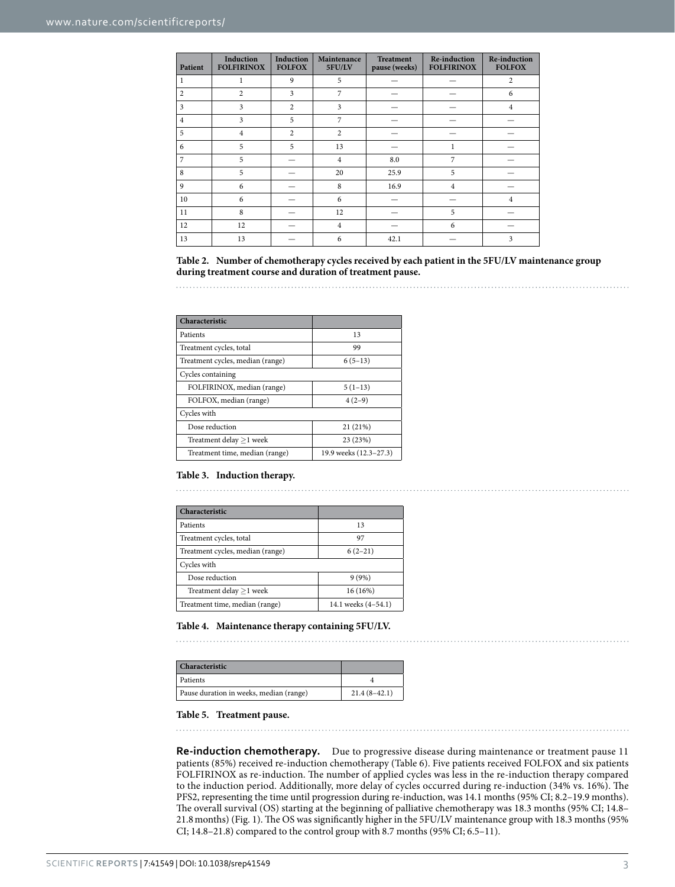<span id="page-2-0"></span>

| Patient        | Induction<br><b>FOLFIRINOX</b> | Induction<br><b>FOLFOX</b> | Maintenance<br>5FU/LV | <b>Treatment</b><br>pause (weeks) | <b>Re-induction</b><br><b>FOLFIRINOX</b> | <b>Re-induction</b><br><b>FOLFOX</b> |
|----------------|--------------------------------|----------------------------|-----------------------|-----------------------------------|------------------------------------------|--------------------------------------|
|                |                                | 9                          | 5                     |                                   |                                          | 2                                    |
| 2              | $\overline{2}$                 | 3                          | 7                     |                                   |                                          | 6                                    |
| 3              | 3                              | $\overline{c}$             | 3                     |                                   |                                          | 4                                    |
| $\overline{4}$ | 3                              | 5                          | 7                     |                                   |                                          |                                      |
| 5              | $\overline{4}$                 | $\overline{c}$             | $\overline{2}$        |                                   |                                          |                                      |
| 6              | 5                              | 5                          | 13                    |                                   |                                          |                                      |
| 7              | 5                              |                            | $\overline{4}$        | 8.0                               | 7                                        |                                      |
| 8              | 5                              |                            | 20                    | 25.9                              | 5                                        |                                      |
| 9              | 6                              |                            | 8                     | 16.9                              | $\overline{4}$                           |                                      |
| 10             | 6                              |                            | 6                     |                                   |                                          | 4                                    |
| 11             | 8                              |                            | 12                    |                                   | 5                                        |                                      |
| 12             | 12                             |                            | $\overline{4}$        |                                   | 6                                        |                                      |
| 13             | 13                             |                            | 6                     | 42.1                              |                                          | 3                                    |

**Table 2. Number of chemotherapy cycles received by each patient in the 5FU/LV maintenance group during treatment course and duration of treatment pause.**

<span id="page-2-1"></span>

| Characteristic                   |                        |  |
|----------------------------------|------------------------|--|
| Patients                         | 13                     |  |
| Treatment cycles, total          | 99                     |  |
| Treatment cycles, median (range) | $6(5-13)$              |  |
| Cycles containing                |                        |  |
| FOLFIRINOX, median (range)       | $5(1-13)$              |  |
| FOLFOX, median (range)           | $4(2-9)$               |  |
| Cycles with                      |                        |  |
| Dose reduction                   | 21 (21%)               |  |
| Treatment delay $\geq$ 1 week    | 23 (23%)               |  |
| Treatment time, median (range)   | 19.9 weeks (12.3-27.3) |  |

#### **Table 3. Induction therapy.**

<span id="page-2-2"></span>

| Characteristic                   |                     |
|----------------------------------|---------------------|
| Patients                         | 13                  |
| Treatment cycles, total          | 97                  |
| Treatment cycles, median (range) | $6(2-21)$           |
| Cycles with                      |                     |
| Dose reduction                   | 9(9%)               |
| Treatment delay $\geq$ 1 week    | 16 (16%)            |
| Treatment time, median (range)   | 14.1 weeks (4-54.1) |

#### **Table 4. Maintenance therapy containing 5FU/LV.**

<span id="page-2-3"></span>

| Characteristic                          |                |
|-----------------------------------------|----------------|
| Patients                                |                |
| Pause duration in weeks, median (range) | $21.4(8-42.1)$ |

#### **Table 5. Treatment pause.**

**Re-induction chemotherapy.** Due to progressive disease during maintenance or treatment pause 11 patients (85%) received re-induction chemotherapy [\(Table 6](#page-4-0)). Five patients received FOLFOX and six patients FOLFIRINOX as re-induction. The number of applied cycles was less in the re-induction therapy compared to the induction period. Additionally, more delay of cycles occurred during re-induction (34% vs. 16%). The PFS2, representing the time until progression during re-induction, was 14.1 months (95% CI; 8.2–19.9 months). The overall survival (OS) starting at the beginning of palliative chemotherapy was 18.3 months (95% CI; 14.8– 21.8months) [\(Fig. 1\)](#page-3-0). The OS was significantly higher in the 5FU/LV maintenance group with 18.3 months (95% CI; 14.8–21.8) compared to the control group with 8.7 months (95% CI; 6.5–11).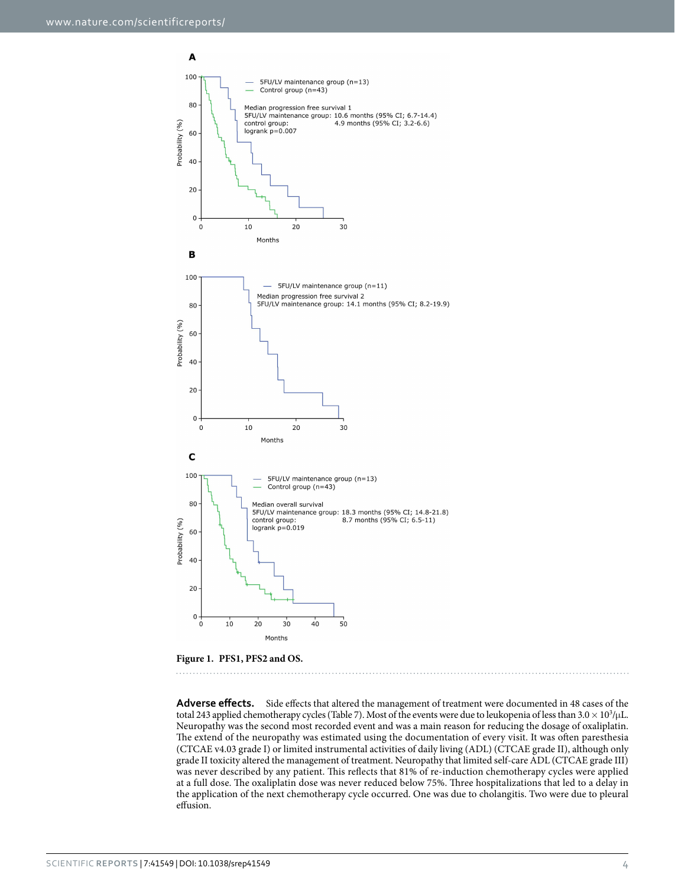

<span id="page-3-0"></span>**Figure 1. PFS1, PFS2 and OS.** 

**Adverse effects.** Side effects that altered the management of treatment were documented in 48 cases of the total 243 applied chemotherapy cycles [\(Table 7\)](#page-4-1). Most of the events were due to leukopenia of less than 3.0 × 10<sup>3</sup>/μL. Neuropathy was the second most recorded event and was a main reason for reducing the dosage of oxaliplatin. The extend of the neuropathy was estimated using the documentation of every visit. It was often paresthesia (CTCAE v4.03 grade I) or limited instrumental activities of daily living (ADL) (CTCAE grade II), although only grade II toxicity altered the management of treatment. Neuropathy that limited self-care ADL (CTCAE grade III) was never described by any patient. This reflects that 81% of re-induction chemotherapy cycles were applied at a full dose. The oxaliplatin dose was never reduced below 75%. Three hospitalizations that led to a delay in the application of the next chemotherapy cycle occurred. One was due to cholangitis. Two were due to pleural effusion.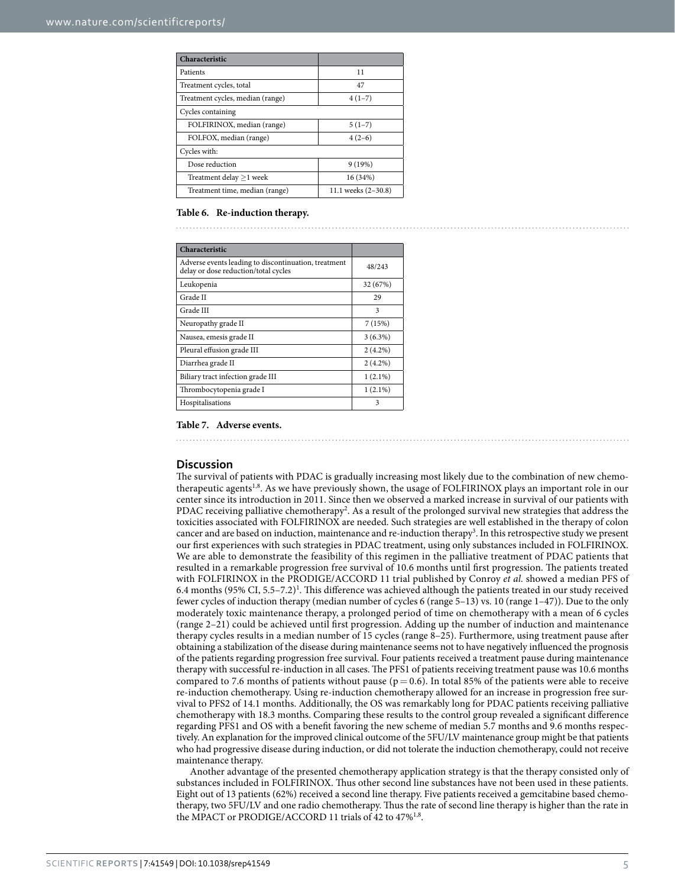<span id="page-4-0"></span>

| Characteristic                   |                     |
|----------------------------------|---------------------|
| Patients                         | 11                  |
| Treatment cycles, total          | 47                  |
| Treatment cycles, median (range) | $4(1-7)$            |
| Cycles containing                |                     |
| FOLFIRINOX, median (range)       | $5(1-7)$            |
| FOLFOX, median (range)           | $4(2-6)$            |
| Cycles with:                     |                     |
| Dose reduction                   | 9(19%)              |
| Treatment delay $\geq$ 1 week    | 16 (34%)            |
| Treatment time, median (range)   | 11.1 weeks (2-30.8) |

#### **Table 6. Re-induction therapy.**

<span id="page-4-1"></span>

| Characteristic                                                                               |            |
|----------------------------------------------------------------------------------------------|------------|
| Adverse events leading to discontinuation, treatment<br>delay or dose reduction/total cycles | 48/243     |
| Leukopenia                                                                                   | 32 (67%)   |
| Grade II                                                                                     | 29         |
| Grade III                                                                                    | 3          |
| Neuropathy grade II                                                                          | 7(15%)     |
| Nausea, emesis grade II                                                                      | $3(6.3\%)$ |
| Pleural effusion grade III                                                                   | $2(4.2\%)$ |
| Diarrhea grade II                                                                            | $2(4.2\%)$ |
| Biliary tract infection grade III                                                            | $1(2.1\%)$ |
| Thrombocytopenia grade I                                                                     | $1(2.1\%)$ |
| Hospitalisations                                                                             | 3          |

#### **Table 7. Adverse events.**

#### **Discussion**

The survival of patients with PDAC is gradually increasing most likely due to the combination of new chemotherapeutic agents[1](#page-6-0),[8.](#page-6-7) As we have previously shown, the usage of FOLFIRINOX plays an important role in our center since its introduction in 2011. Since then we observed a marked increase in survival of our patients with PDAC receiving palliative chemotherapy<sup>[2](#page-6-1)</sup>. As a result of the prolonged survival new strategies that address the toxicities associated with FOLFIRINOX are needed. Such strategies are well established in the therapy of colon cancer and are based on induction, maintenance and re-induction therapy<sup>[3](#page-6-2)</sup>. In this retrospective study we present our first experiences with such strategies in PDAC treatment, using only substances included in FOLFIRINOX. We are able to demonstrate the feasibility of this regimen in the palliative treatment of PDAC patients that resulted in a remarkable progression free survival of 10.6 months until first progression. The patients treated with FOLFIRINOX in the PRODIGE/ACCORD 11 trial published by Conroy *et al.* showed a median PFS of 6.4 months (95% CI,  $5.5-7.2$ )<sup>1</sup>. This difference was achieved although the patients treated in our study received fewer cycles of induction therapy (median number of cycles 6 (range 5–13) vs. 10 (range 1–47)). Due to the only moderately toxic maintenance therapy, a prolonged period of time on chemotherapy with a mean of 6 cycles (range 2–21) could be achieved until first progression. Adding up the number of induction and maintenance therapy cycles results in a median number of 15 cycles (range 8–25). Furthermore, using treatment pause after obtaining a stabilization of the disease during maintenance seems not to have negatively influenced the prognosis of the patients regarding progression free survival. Four patients received a treatment pause during maintenance therapy with successful re-induction in all cases. The PFS1 of patients receiving treatment pause was 10.6 months compared to 7.6 months of patients without pause ( $p = 0.6$ ). In total 85% of the patients were able to receive re-induction chemotherapy. Using re-induction chemotherapy allowed for an increase in progression free survival to PFS2 of 14.1 months. Additionally, the OS was remarkably long for PDAC patients receiving palliative chemotherapy with 18.3 months. Comparing these results to the control group revealed a significant difference regarding PFS1 and OS with a benefit favoring the new scheme of median 5.7 months and 9.6 months respectively. An explanation for the improved clinical outcome of the 5FU/LV maintenance group might be that patients who had progressive disease during induction, or did not tolerate the induction chemotherapy, could not receive maintenance therapy.

Another advantage of the presented chemotherapy application strategy is that the therapy consisted only of substances included in FOLFIRINOX. Thus other second line substances have not been used in these patients. Eight out of 13 patients (62%) received a second line therapy. Five patients received a gemcitabine based chemotherapy, two 5FU/LV and one radio chemotherapy. Thus the rate of second line therapy is higher than the rate in the MPACT or PRODIGE/ACCORD [1](#page-6-0)1 trials of 42 to 47%<sup>1,8</sup>.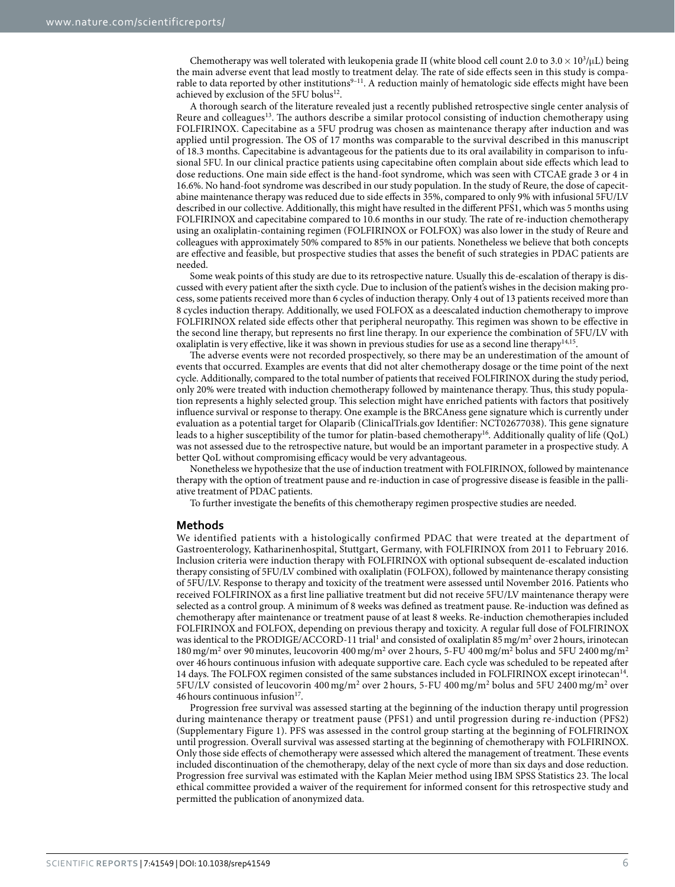Chemotherapy was well tolerated with leukopenia grade II (white blood cell count 2.0 to 3.0  $\times$  10<sup>3</sup>/ $\mu$ L) being the main adverse event that lead mostly to treatment delay. The rate of side effects seen in this study is comparable to data reported by other institutions<sup>9-11</sup>. A reduction mainly of hematologic side effects might have been achieved by exclusion of the 5FU bolus<sup>12</sup>.

A thorough search of the literature revealed just a recently published retrospective single center analysis of Reure and colleagues<sup>13</sup>. The authors describe a similar protocol consisting of induction chemotherapy using FOLFIRINOX. Capecitabine as a 5FU prodrug was chosen as maintenance therapy after induction and was applied until progression. The OS of 17 months was comparable to the survival described in this manuscript of 18.3 months. Capecitabine is advantageous for the patients due to its oral availability in comparison to infusional 5FU. In our clinical practice patients using capecitabine often complain about side effects which lead to dose reductions. One main side effect is the hand-foot syndrome, which was seen with CTCAE grade 3 or 4 in 16.6%. No hand-foot syndrome was described in our study population. In the study of Reure, the dose of capecitabine maintenance therapy was reduced due to side effects in 35%, compared to only 9% with infusional 5FU/LV described in our collective. Additionally, this might have resulted in the different PFS1, which was 5 months using FOLFIRINOX and capecitabine compared to 10.6 months in our study. The rate of re-induction chemotherapy using an oxaliplatin-containing regimen (FOLFIRINOX or FOLFOX) was also lower in the study of Reure and colleagues with approximately 50% compared to 85% in our patients. Nonetheless we believe that both concepts are effective and feasible, but prospective studies that asses the benefit of such strategies in PDAC patients are needed.

Some weak points of this study are due to its retrospective nature. Usually this de-escalation of therapy is discussed with every patient after the sixth cycle. Due to inclusion of the patient's wishes in the decision making process, some patients received more than 6 cycles of induction therapy. Only 4 out of 13 patients received more than 8 cycles induction therapy. Additionally, we used FOLFOX as a deescalated induction chemotherapy to improve FOLFIRINOX related side effects other that peripheral neuropathy. This regimen was shown to be effective in the second line therapy, but represents no first line therapy. In our experience the combination of 5FU/LV with oxaliplatin is very effective, like it was shown in previous studies for use as a second line therapy<sup>14[,15](#page-6-12)</sup>.

The adverse events were not recorded prospectively, so there may be an underestimation of the amount of events that occurred. Examples are events that did not alter chemotherapy dosage or the time point of the next cycle. Additionally, compared to the total number of patients that received FOLFIRINOX during the study period, only 20% were treated with induction chemotherapy followed by maintenance therapy. Thus, this study population represents a highly selected group. This selection might have enriched patients with factors that positively influence survival or response to therapy. One example is the BRCAness gene signature which is currently under evaluation as a potential target for Olaparib (ClinicalTrials.gov Identifier: NCT02677038). This gene signature leads to a higher susceptibility of the tumor for platin-based chemotherapy<sup>16</sup>. Additionally quality of life (QoL) was not assessed due to the retrospective nature, but would be an important parameter in a prospective study. A better QoL without compromising efficacy would be very advantageous.

Nonetheless we hypothesize that the use of induction treatment with FOLFIRINOX, followed by maintenance therapy with the option of treatment pause and re-induction in case of progressive disease is feasible in the palliative treatment of PDAC patients.

To further investigate the benefits of this chemotherapy regimen prospective studies are needed.

#### **Methods**

We identified patients with a histologically confirmed PDAC that were treated at the department of Gastroenterology, Katharinenhospital, Stuttgart, Germany, with FOLFIRINOX from 2011 to February 2016. Inclusion criteria were induction therapy with FOLFIRINOX with optional subsequent de-escalated induction therapy consisting of 5FU/LV combined with oxaliplatin (FOLFOX), followed by maintenance therapy consisting of 5FU/LV. Response to therapy and toxicity of the treatment were assessed until November 2016. Patients who received FOLFIRINOX as a first line palliative treatment but did not receive 5FU/LV maintenance therapy were selected as a control group. A minimum of 8 weeks was defined as treatment pause. Re-induction was defined as chemotherapy after maintenance or treatment pause of at least 8 weeks. Re-induction chemotherapies included FOLFIRINOX and FOLFOX, depending on previous therapy and toxicity. A regular full dose of FOLFIRINOX was identical to the PRODIGE/ACCORD-[1](#page-6-0)1 trial<sup>1</sup> and consisted of oxaliplatin 85 mg/m<sup>2</sup> over 2 hours, irinotecan 180 mg/m<sup>2</sup> over 90 minutes, leucovorin 400 mg/m<sup>2</sup> over 2 hours, 5-FU 400 mg/m<sup>2</sup> bolus and 5FU 2400 mg/m<sup>2</sup> over 46hours continuous infusion with adequate supportive care. Each cycle was scheduled to be repeated after 14 days. The FOLFOX regimen consisted of the same substances included in FOLFIRINOX except irinotecan[14.](#page-6-11) 5FU/LV consisted of leucovorin 400 mg/m<sup>2</sup> over 2 hours, 5-FU 400 mg/m<sup>2</sup> bolus and 5FU 2400 mg/m<sup>2</sup> over 46 hours continuous infusion $17$ .

Progression free survival was assessed starting at the beginning of the induction therapy until progression during maintenance therapy or treatment pause (PFS1) and until progression during re-induction (PFS2) (Supplementary Figure 1). PFS was assessed in the control group starting at the beginning of FOLFIRINOX until progression. Overall survival was assessed starting at the beginning of chemotherapy with FOLFIRINOX. Only those side effects of chemotherapy were assessed which altered the management of treatment. These events included discontinuation of the chemotherapy, delay of the next cycle of more than six days and dose reduction. Progression free survival was estimated with the Kaplan Meier method using IBM SPSS Statistics 23. The local ethical committee provided a waiver of the requirement for informed consent for this retrospective study and permitted the publication of anonymized data.